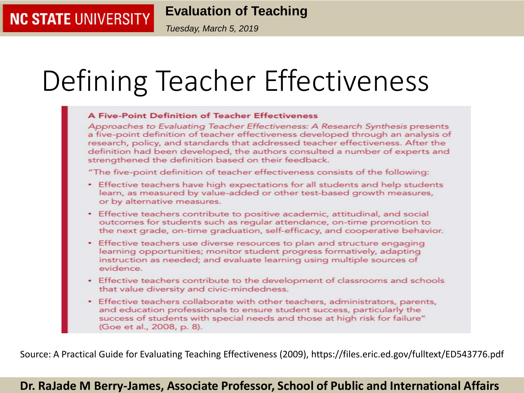*Tuesday, March 5, 2019*

# Defining Teacher Effectiveness

#### **A Five-Point Definition of Teacher Effectiveness** Approaches to Evaluating Teacher Effectiveness: A Research Synthesis presents a five-point definition of teacher effectiveness developed through an analysis of research, policy, and standards that addressed teacher effectiveness. After the definition had been developed, the authors consulted a number of experts and strengthened the definition based on their feedback. "The five-point definition of teacher effectiveness consists of the following: • Effective teachers have high expectations for all students and help students learn, as measured by value-added or other test-based growth measures, or by alternative measures. • Effective teachers contribute to positive academic, attitudinal, and social outcomes for students such as regular attendance, on-time promotion to the next grade, on-time graduation, self-efficacy, and cooperative behavior. • Effective teachers use diverse resources to plan and structure engaging learning opportunities; monitor student progress formatively, adapting instruction as needed; and evaluate learning using multiple sources of evidence. • Effective teachers contribute to the development of classrooms and schools that value diversity and civic-mindedness. Effective teachers collaborate with other teachers, administrators, parents, ۰ and education professionals to ensure student success, particularly the success of students with special needs and those at high risk for failure"

Source: A Practical Guide for Evaluating Teaching Effectiveness (2009), https://files.eric.ed.gov/fulltext/ED543776.pdf

(Goe et al., 2008, p. 8).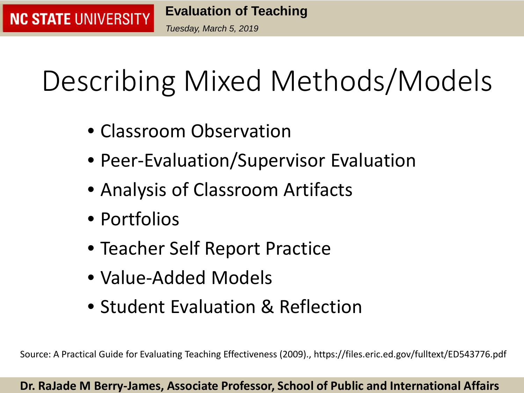*Tuesday, March 5, 2019*

# Describing Mixed Methods/Models

- Classroom Observation
- Peer-Evaluation/Supervisor Evaluation
- Analysis of Classroom Artifacts
- Portfolios

**NC STATE UNIVERSITY** 

- Teacher Self Report Practice
- Value-Added Models
- Student Evaluation & Reflection

Source: A Practical Guide for Evaluating Teaching Effectiveness (2009)., https://files.eric.ed.gov/fulltext/ED543776.pdf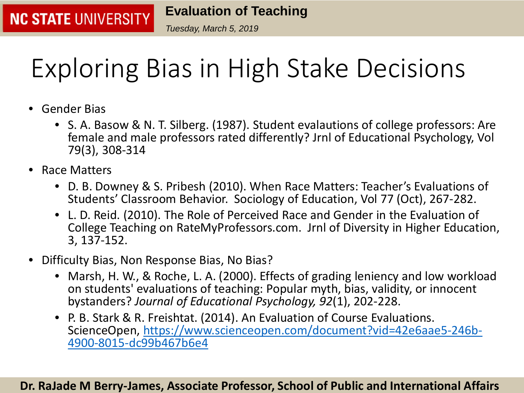*Tuesday, March 5, 2019*

## Exploring Bias in High Stake Decisions

• Gender Bias

**NC STATE UNIVERSITY** 

- S. A. Basow & N. T. Silberg. (1987). Student evalautions of college professors: Are female and male professors rated differently? Jrnl of Educational Psychology, Vol 79(3), 308-314
- Race Matters
	- D. B. Downey & S. Pribesh (2010). When Race Matters: Teacher's Evaluations of Students' Classroom Behavior. Sociology of Education, Vol 77 (Oct), 267-282.
	- L. D. Reid. (2010). The Role of Perceived Race and Gender in the Evaluation of College Teaching on RateMyProfessors.com. Jrnl of Diversity in Higher Education, 3, 137-152.
- Difficulty Bias, Non Response Bias, No Bias?
	- Marsh, H. W., & Roche, L. A. (2000). Effects of grading leniency and low workload on students' evaluations of teaching: Popular myth, bias, validity, or innocent bystanders? *Journal of Educational Psychology, 92*(1), 202-228.
	- P. B. Stark & R. Freishtat. (2014). An Evaluation of Course Evaluations. [ScienceOpen, https://www.scienceopen.com/document?vid=42e6aae5-246b-](https://www.scienceopen.com/document?vid=42e6aae5-246b-4900-8015-dc99b467b6e4)<br>4900-8015-dc99b467b6e4